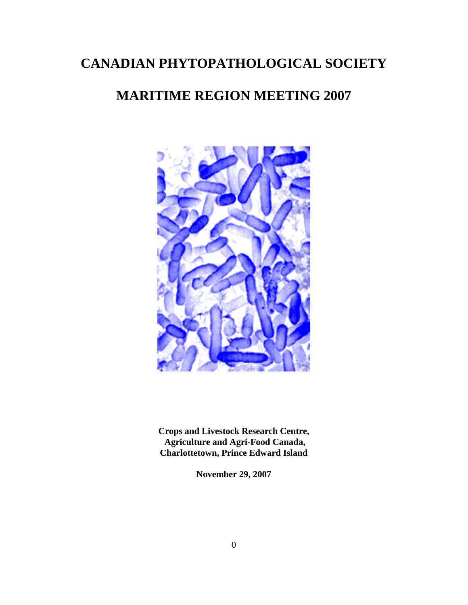# **CANADIAN PHYTOPATHOLOGICAL SOCIETY**

## **MARITIME REGION MEETING 2007**



**Crops and Livestock Research Centre, Agriculture and Agri-Food Canada, Charlottetown, Prince Edward Island**

**November 29, 2007**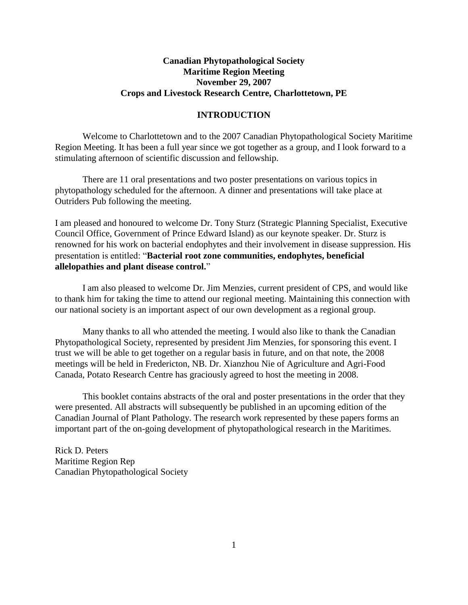## **Canadian Phytopathological Society Maritime Region Meeting November 29, 2007 Crops and Livestock Research Centre, Charlottetown, PE**

#### **INTRODUCTION**

Welcome to Charlottetown and to the 2007 Canadian Phytopathological Society Maritime Region Meeting. It has been a full year since we got together as a group, and I look forward to a stimulating afternoon of scientific discussion and fellowship.

There are 11 oral presentations and two poster presentations on various topics in phytopathology scheduled for the afternoon. A dinner and presentations will take place at Outriders Pub following the meeting.

I am pleased and honoured to welcome Dr. Tony Sturz (Strategic Planning Specialist, Executive Council Office, Government of Prince Edward Island) as our keynote speaker. Dr. Sturz is renowned for his work on bacterial endophytes and their involvement in disease suppression. His presentation is entitled: "**Bacterial root zone communities, endophytes, beneficial allelopathies and plant disease control.**"

I am also pleased to welcome Dr. Jim Menzies, current president of CPS, and would like to thank him for taking the time to attend our regional meeting. Maintaining this connection with our national society is an important aspect of our own development as a regional group.

Many thanks to all who attended the meeting. I would also like to thank the Canadian Phytopathological Society, represented by president Jim Menzies, for sponsoring this event. I trust we will be able to get together on a regular basis in future, and on that note, the 2008 meetings will be held in Fredericton, NB. Dr. Xianzhou Nie of Agriculture and Agri-Food Canada, Potato Research Centre has graciously agreed to host the meeting in 2008.

This booklet contains abstracts of the oral and poster presentations in the order that they were presented. All abstracts will subsequently be published in an upcoming edition of the Canadian Journal of Plant Pathology. The research work represented by these papers forms an important part of the on-going development of phytopathological research in the Maritimes.

Rick D. Peters Maritime Region Rep Canadian Phytopathological Society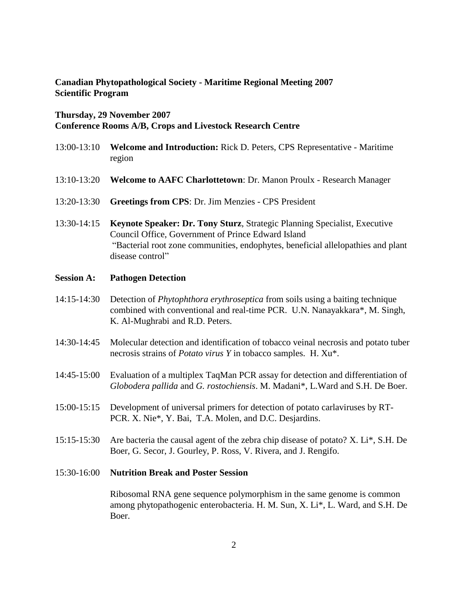## **Canadian Phytopathological Society - Maritime Regional Meeting 2007 Scientific Program**

#### **Thursday, 29 November 2007**

## **Conference Rooms A/B, Crops and Livestock Research Centre**

- 13:00-13:10 **Welcome and Introduction:** Rick D. Peters, CPS Representative Maritime region
- 13:10-13:20 **Welcome to AAFC Charlottetown**: Dr. Manon Proulx Research Manager
- 13:20-13:30 **Greetings from CPS**: Dr. Jim Menzies CPS President
- 13:30-14:15 **Keynote Speaker: Dr. Tony Sturz**, Strategic Planning Specialist, Executive Council Office, Government of Prince Edward Island "Bacterial root zone communities, endophytes, beneficial allelopathies and plant disease control"

### **Session A: Pathogen Detection**

- 14:15-14:30 Detection of *Phytophthora erythroseptica* from soils using a baiting technique combined with conventional and real-time PCR. U.N. Nanayakkara\*, M. Singh, K. Al-Mughrabi and R.D. Peters.
- 14:30-14:45 Molecular detection and identification of tobacco veinal necrosis and potato tuber necrosis strains of *Potato virus Y* in tobacco samples. H. Xu\*.
- 14:45-15:00 Evaluation of a multiplex TaqMan PCR assay for detection and differentiation of *Globodera pallida* and *G. rostochiensis*. M. Madani\*, L.Ward and S.H. De Boer.
- 15:00-15:15 Development of universal primers for detection of potato carlaviruses by RT-PCR. X. Nie\*, Y. Bai, T.A. Molen, and D.C. Desjardins.
- 15:15-15:30 Are bacteria the causal agent of the zebra chip disease of potato? X. Li\*, S.H. De Boer, G. Secor, J. Gourley, P. Ross, V. Rivera, and J. Rengifo.

#### 15:30-16:00 **Nutrition Break and Poster Session**

Ribosomal RNA gene sequence polymorphism in the same genome is common among phytopathogenic enterobacteria. H. M. Sun, X. Li\*, L. Ward, and S.H. De Boer.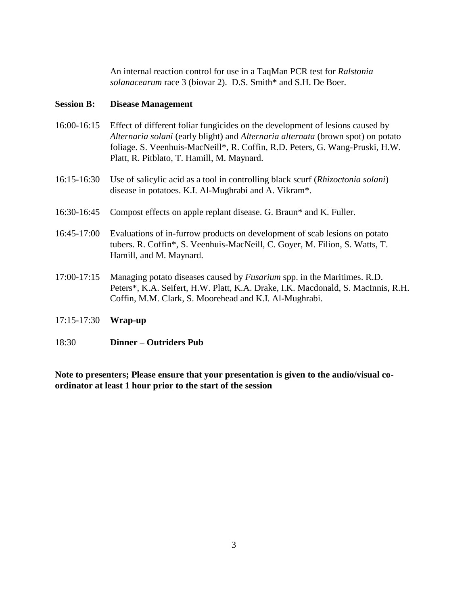An internal reaction control for use in a TaqMan PCR test for *Ralstonia solanacearum* race 3 (biovar 2).D.S. Smith\* and S.H. De Boer.

#### **Session B: Disease Management**

- 16:00-16:15 Effect of different foliar fungicides on the development of lesions caused by *Alternaria solani* (early blight) and *Alternaria alternata* (brown spot) on potato foliage. S. Veenhuis-MacNeill\*, R. Coffin, R.D. Peters, G. Wang-Pruski, H.W. Platt, R. Pitblato, T. Hamill, M. Maynard.
- 16:15-16:30 Use of salicylic acid as a tool in controlling black scurf (*Rhizoctonia solani*) disease in potatoes. K.I. Al-Mughrabi and A. Vikram\*.
- 16:30-16:45 Compost effects on apple replant disease. G. Braun\* and K. Fuller.
- 16:45-17:00 Evaluations of in-furrow products on development of scab lesions on potato tubers. R. Coffin\*, S. Veenhuis-MacNeill, C. Goyer, M. Filion, S. Watts, T. Hamill, and M. Maynard.
- 17:00-17:15 Managing potato diseases caused by *Fusarium* spp. in the Maritimes. R.D. Peters\*, K.A. Seifert, H.W. Platt, K.A. Drake, I.K. Macdonald, S. MacInnis, R.H. Coffin, M.M. Clark, S. Moorehead and K.I. Al-Mughrabi.
- 17:15-17:30 **Wrap-up**
- 18:30 **Dinner – Outriders Pub**

**Note to presenters; Please ensure that your presentation is given to the audio/visual coordinator at least 1 hour prior to the start of the session**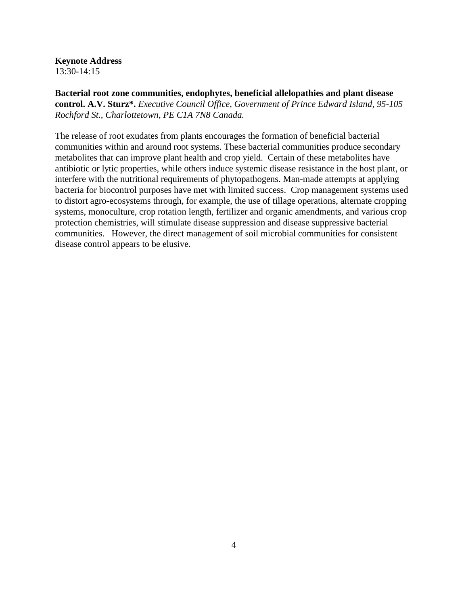#### **Keynote Address**

13:30-14:15

**Bacterial root zone communities, endophytes, beneficial allelopathies and plant disease control. A.V. Sturz\*.** *Executive Council Office, Government of Prince Edward Island, 95-105 Rochford St., Charlottetown, PE C1A 7N8 Canada.*

The release of root exudates from plants encourages the formation of beneficial bacterial communities within and around root systems. These bacterial communities produce secondary metabolites that can improve plant health and crop yield. Certain of these metabolites have antibiotic or lytic properties, while others induce systemic disease resistance in the host plant, or interfere with the nutritional requirements of phytopathogens. Man-made attempts at applying bacteria for biocontrol purposes have met with limited success. Crop management systems used to distort agro-ecosystems through, for example, the use of tillage operations, alternate cropping systems, monoculture, crop rotation length, fertilizer and organic amendments, and various crop protection chemistries, will stimulate disease suppression and disease suppressive bacterial communities. However, the direct management of soil microbial communities for consistent disease control appears to be elusive.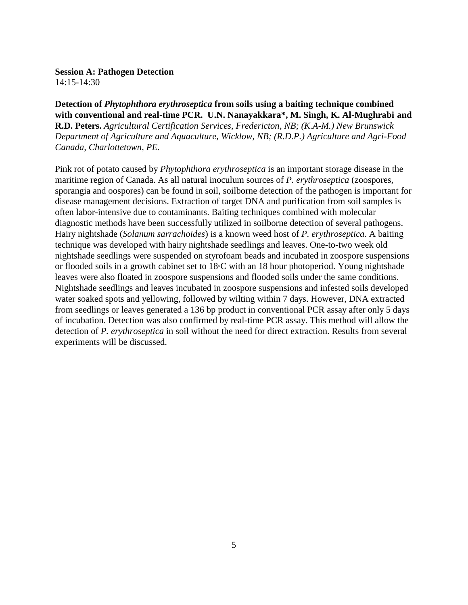14:15-14:30

## **Detection of** *Phytophthora erythroseptica* **from soils using a baiting technique combined with conventional and real-time PCR. U.N. Nanayakkara\*, M. Singh, K. Al-Mughrabi and**

**R.D. Peters.** *Agricultural Certification Services, Fredericton, NB; (K.A-M.) New Brunswick Department of Agriculture and Aquaculture, Wicklow, NB; (R.D.P.) Agriculture and Agri-Food Canada, Charlottetown, PE.*

Pink rot of potato caused by *Phytophthora erythroseptica* is an important storage disease in the maritime region of Canada. As all natural inoculum sources of *P. erythroseptica* (zoospores, sporangia and oospores) can be found in soil, soilborne detection of the pathogen is important for disease management decisions. Extraction of target DNA and purification from soil samples is often labor-intensive due to contaminants. Baiting techniques combined with molecular diagnostic methods have been successfully utilized in soilborne detection of several pathogens. Hairy nightshade (*Solanum sarrachoides*) is a known weed host of *P. erythroseptica*. A baiting technique was developed with hairy nightshade seedlings and leaves. One-to-two week old nightshade seedlings were suspended on styrofoam beads and incubated in zoospore suspensions or flooded soils in a growth cabinet set to 18°C with an 18 hour photoperiod. Young nightshade leaves were also floated in zoospore suspensions and flooded soils under the same conditions. Nightshade seedlings and leaves incubated in zoospore suspensions and infested soils developed water soaked spots and yellowing, followed by wilting within 7 days. However, DNA extracted from seedlings or leaves generated a 136 bp product in conventional PCR assay after only 5 days of incubation. Detection was also confirmed by real-time PCR assay. This method will allow the detection of *P. erythroseptica* in soil without the need for direct extraction. Results from several experiments will be discussed.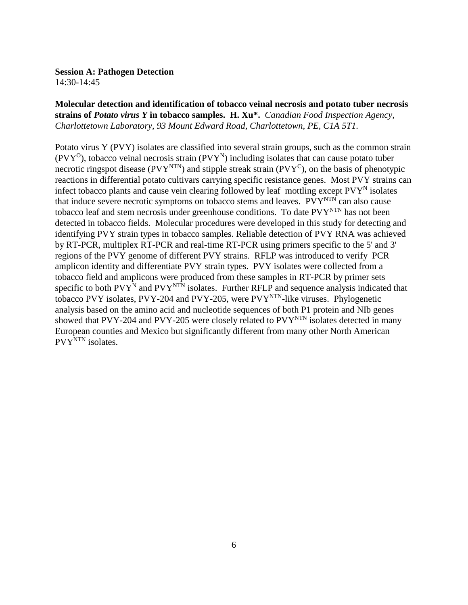14:30-14:45

## **Molecular detection and identification of tobacco veinal necrosis and potato tuber necrosis strains of** *Potato virus Y* **in tobacco samples. H. Xu\*.** *Canadian Food Inspection Agency, Charlottetown Laboratory, 93 Mount Edward Road, Charlottetown, PE, C1A 5T1.*

Potato virus Y (PVY) isolates are classified into several strain groups, such as the common strain  $(PVY^O)$ , tobacco veinal necrosis strain  $(PVY^N)$  including isolates that can cause potato tuber necrotic ringspot disease ( $PVY<sup>NTN</sup>$ ) and stipple streak strain ( $PVY<sup>C</sup>$ ), on the basis of phenotypic reactions in differential potato cultivars carrying specific resistance genes. Most PVY strains can infect tobacco plants and cause vein clearing followed by leaf mottling except  $P V Y^N$  isolates that induce severe necrotic symptoms on tobacco stems and leaves.  $PVY<sup>NTN</sup>$  can also cause tobacco leaf and stem necrosis under greenhouse conditions. To date PVY<sup>NTN</sup> has not been detected in tobacco fields. Molecular procedures were developed in this study for detecting and identifying PVY strain types in tobacco samples. Reliable detection of PVY RNA was achieved by RT-PCR, multiplex RT-PCR and real-time RT-PCR using primers specific to the 5' and 3' regions of the PVY genome of different PVY strains. RFLP was introduced to verify PCR amplicon identity and differentiate PVY strain types. PVY isolates were collected from a tobacco field and amplicons were produced from these samples in RT-PCR by primer sets specific to both  $PVY^N$  and  $PVY^{NTN}$  isolates. Further RFLP and sequence analysis indicated that tobacco PVY isolates, PVY-204 and PVY-205, were  $PVY<sup>NTN</sup>$ -like viruses. Phylogenetic analysis based on the amino acid and nucleotide sequences of both P1 protein and NIb genes showed that PVY-204 and PVY-205 were closely related to  $PVT<sup>NTN</sup>$  isolates detected in many European counties and Mexico but significantly different from many other North American PVY<sup>NTN</sup> isolates.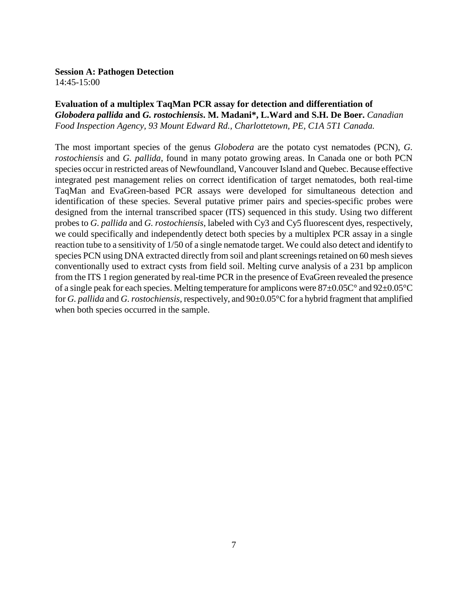14:45-15:00

## **Evaluation of a multiplex TaqMan PCR assay for detection and differentiation of**  *Globodera pallida* **and** *G. rostochiensis***. M. Madani\*, L.Ward and S.H. De Boer.** *Canadian Food Inspection Agency, 93 Mount Edward Rd., Charlottetown, PE, C1A 5T1 Canada.*

The most important species of the genus *Globodera* are the potato cyst nematodes (PCN), *G. rostochiensis* and *G. pallida*, found in many potato growing areas. In Canada one or both PCN species occur in restricted areas of Newfoundland, Vancouver Island and Quebec. Because effective integrated pest management relies on correct identification of target nematodes, both real-time TaqMan and EvaGreen-based PCR assays were developed for simultaneous detection and identification of these species. Several putative primer pairs and species-specific probes were designed from the internal transcribed spacer (ITS) sequenced in this study. Using two different probes to *G. pallida* and *G. rostochiensis*, labeled with Cy3 and Cy5 fluorescent dyes, respectively, we could specifically and independently detect both species by a multiplex PCR assay in a single reaction tube to a sensitivity of 1/50 of a single nematode target. We could also detect and identify to species PCN using DNA extracted directly from soil and plant screenings retained on 60 mesh sieves conventionally used to extract cysts from field soil. Melting curve analysis of a 231 bp amplicon from the ITS 1 region generated by real-time PCR in the presence of EvaGreen revealed the presence of a single peak for each species. Melting temperature for amplicons were 87±0.05C° and 92±0.05°C for *G. pallida* and *G. rostochiensis*, respectively, and 90±0.05°C for a hybrid fragment that amplified when both species occurred in the sample.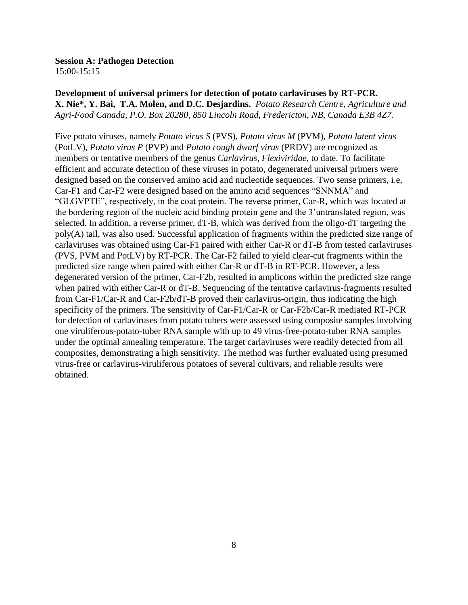15:00-15:15

**Development of universal primers for detection of potato carlaviruses by RT-PCR. X. Nie\*, Y. Bai, T.A. Molen, and D.C. Desjardins.** *Potato Research Centre, Agriculture and Agri-Food Canada, P.O. Box 20280, 850 Lincoln Road, Fredericton, NB, Canada E3B 4Z7.*

Five potato viruses, namely *Potato virus S* (PVS), *Potato virus M* (PVM), *Potato latent virus* (PotLV), *Potato virus P* (PVP) and *Potato rough dwarf virus* (PRDV) are recognized as members or tentative members of the genus *Carlavirus*, *Flexiviridae*, to date. To facilitate efficient and accurate detection of these viruses in potato, degenerated universal primers were designed based on the conserved amino acid and nucleotide sequences. Two sense primers, i.e, Car-F1 and Car-F2 were designed based on the amino acid sequences "SNNMA" and "GLGVPTE", respectively, in the coat protein. The reverse primer, Car-R, which was located at the bordering region of the nucleic acid binding protein gene and the 3'untranslated region, was selected. In addition, a reverse primer, dT-B, which was derived from the oligo-dT targeting the poly(A) tail, was also used. Successful application of fragments within the predicted size range of carlaviruses was obtained using Car-F1 paired with either Car-R or dT-B from tested carlaviruses (PVS, PVM and PotLV) by RT-PCR. The Car-F2 failed to yield clear-cut fragments within the predicted size range when paired with either Car-R or dT-B in RT-PCR. However, a less degenerated version of the primer, Car-F2b, resulted in amplicons within the predicted size range when paired with either Car-R or dT-B. Sequencing of the tentative carlavirus-fragments resulted from Car-F1/Car-R and Car-F2b/dT-B proved their carlavirus-origin, thus indicating the high specificity of the primers. The sensitivity of Car-F1/Car-R or Car-F2b/Car-R mediated RT-PCR for detection of carlaviruses from potato tubers were assessed using composite samples involving one viruliferous-potato-tuber RNA sample with up to 49 virus-free-potato-tuber RNA samples under the optimal annealing temperature. The target carlaviruses were readily detected from all composites, demonstrating a high sensitivity. The method was further evaluated using presumed virus-free or carlavirus-viruliferous potatoes of several cultivars, and reliable results were obtained.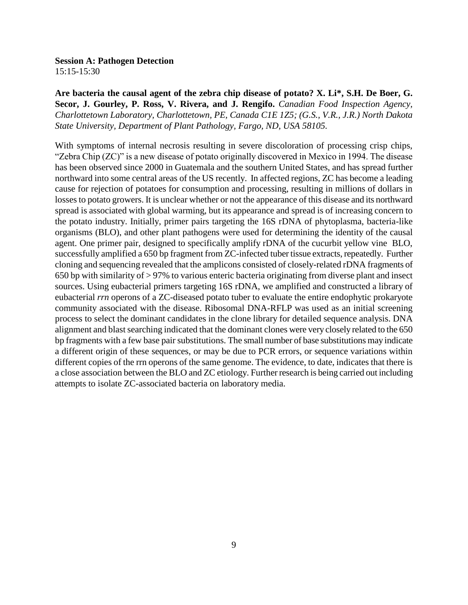15:15-15:30

**Are bacteria the causal agent of the zebra chip disease of potato? X. Li\*, S.H. De Boer, G. Secor, J. Gourley, P. Ross, V. Rivera, and J. Rengifo.** *Canadian Food Inspection Agency, Charlottetown Laboratory, Charlottetown, PE, Canada C1E 1Z5; (G.S., V.R., J.R.) North Dakota State University, Department of Plant Pathology, Fargo, ND, USA 58105.*

With symptoms of internal necrosis resulting in severe discoloration of processing crisp chips, "Zebra Chip (ZC)" is a new disease of potato originally discovered in Mexico in 1994. The disease has been observed since 2000 in Guatemala and the southern United States, and has spread further northward into some central areas of the US recently. In affected regions, ZC has become a leading cause for rejection of potatoes for consumption and processing, resulting in millions of dollars in losses to potato growers. It is unclear whether or not the appearance of this disease and its northward spread is associated with global warming, but its appearance and spread is of increasing concern to the potato industry. Initially, primer pairs targeting the 16S rDNA of phytoplasma, bacteria-like organisms (BLO), and other plant pathogens were used for determining the identity of the causal agent. One primer pair, designed to specifically amplify rDNA of the cucurbit yellow vine BLO, successfully amplified a 650 bp fragment from ZC-infected tuber tissue extracts, repeatedly. Further cloning and sequencing revealed that the amplicons consisted of closely-related rDNA fragments of 650 bp with similarity of > 97% to various enteric bacteria originating from diverse plant and insect sources. Using eubacterial primers targeting 16S rDNA, we amplified and constructed a library of eubacterial *rrn* operons of a ZC-diseased potato tuber to evaluate the entire endophytic prokaryote community associated with the disease. Ribosomal DNA-RFLP was used as an initial screening process to select the dominant candidates in the clone library for detailed sequence analysis. DNA alignment and blast searching indicated that the dominant clones were very closely related to the 650 bp fragments with a few base pair substitutions. The small number of base substitutions may indicate a different origin of these sequences, or may be due to PCR errors, or sequence variations within different copies of the rrn operons of the same genome. The evidence, to date, indicates that there is a close association between the BLO and ZC etiology. Further research is being carried out including attempts to isolate ZC-associated bacteria on laboratory media.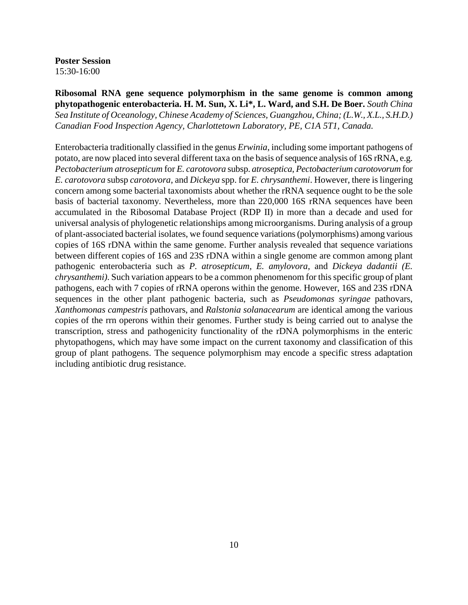**Poster Session** 15:30-16:00

**Ribosomal RNA gene sequence polymorphism in the same genome is common among phytopathogenic enterobacteria. H. M. Sun, X. Li\*, L. Ward, and S.H. De Boer.** *South China Sea Institute of Oceanology, Chinese Academy of Sciences, Guangzhou, China; (L.W., X.L., S.H.D.) Canadian Food Inspection Agency, Charlottetown Laboratory, PE, C1A 5T1, Canada.*

Enterobacteria traditionally classified in the genus *Erwinia*, including some important pathogens of potato, are now placed into several different taxa on the basis of sequence analysis of 16S rRNA, e.g. *Pectobacterium atrosepticum* for *E. carotovora* subsp. *atroseptica*, *Pectobacterium carotovorum* for *E. carotovora* subsp *carotovora*, and *Dickeya* spp. for *E. chrysanthemi*. However, there is lingering concern among some bacterial taxonomists about whether the rRNA sequence ought to be the sole basis of bacterial taxonomy. Nevertheless, more than 220,000 16S rRNA sequences have been accumulated in the Ribosomal Database Project (RDP II) in more than a decade and used for universal analysis of phylogenetic relationships among microorganisms. During analysis of a group of plant-associated bacterial isolates, we found sequence variations (polymorphisms) among various copies of 16S rDNA within the same genome. Further analysis revealed that sequence variations between different copies of 16S and 23S rDNA within a single genome are common among plant pathogenic enterobacteria such as *P. atrosepticum*, *E. amylovora*, and *Dickeya dadantii (E. chrysanthemi)*. Such variation appears to be a common phenomenom for this specific group of plant pathogens, each with 7 copies of rRNA operons within the genome. However, 16S and 23S rDNA sequences in the other plant pathogenic bacteria, such as *Pseudomonas syringae* pathovars, *Xanthomonas campestris* pathovars, and *Ralstonia solanacearum* are identical among the various copies of the rrn operons within their genomes. Further study is being carried out to analyse the transcription, stress and pathogenicity functionality of the rDNA polymorphisms in the enteric phytopathogens, which may have some impact on the current taxonomy and classification of this group of plant pathogens. The sequence polymorphism may encode a specific stress adaptation including antibiotic drug resistance.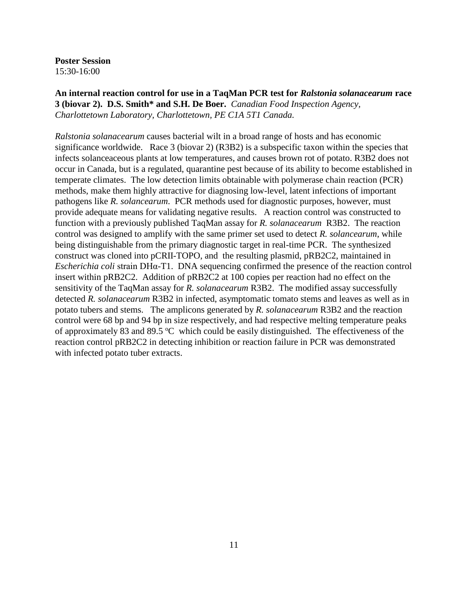**Poster Session** 15:30-16:00

**An internal reaction control for use in a TaqMan PCR test for** *Ralstonia solanacearum* **race 3 (biovar 2).****D.S. Smith\* and S.H. De Boer.** *Canadian Food Inspection Agency, Charlottetown Laboratory, Charlottetown, PE C1A 5T1 Canada.*

*Ralstonia solanacearum* causes bacterial wilt in a broad range of hosts and has economic significance worldwide. Race 3 (biovar 2) (R3B2) is a subspecific taxon within the species that infects solanceaceous plants at low temperatures, and causes brown rot of potato. R3B2 does not occur in Canada, but is a regulated, quarantine pest because of its ability to become established in temperate climates. The low detection limits obtainable with polymerase chain reaction (PCR) methods, make them highly attractive for diagnosing low-level, latent infections of important pathogens like *R. solancearum*. PCR methods used for diagnostic purposes, however, must provide adequate means for validating negative results. A reaction control was constructed to function with a previously published TaqMan assay for *R. solanacearum* R3B2. The reaction control was designed to amplify with the same primer set used to detect *R. solancearum*, while being distinguishable from the primary diagnostic target in real-time PCR. The synthesized construct was cloned into pCRII-TOPO, and the resulting plasmid, pRB2C2, maintained in *Escherichia coli* strain DHα-T1. DNA sequencing confirmed the presence of the reaction control insert within pRB2C2. Addition of pRB2C2 at 100 copies per reaction had no effect on the sensitivity of the TaqMan assay for *R. solanacearum* R3B2. The modified assay successfully detected *R. solanacearum* R3B2 in infected, asymptomatic tomato stems and leaves as well as in potato tubers and stems. The amplicons generated by *R. solanacearum* R3B2 and the reaction control were 68 bp and 94 bp in size respectively, and had respective melting temperature peaks of approximately 83 and 89.5  $\degree$ C which could be easily distinguished. The effectiveness of the reaction control pRB2C2 in detecting inhibition or reaction failure in PCR was demonstrated with infected potato tuber extracts.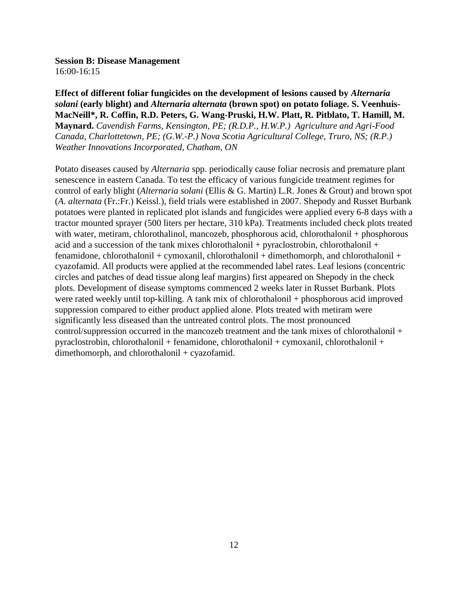**Session B: Disease Management** 16:00-16:15

**Effect of different foliar fungicides on the development of lesions caused by** *Alternaria solani* **(early blight) and** *Alternaria alternata* **(brown spot) on potato foliage. S. Veenhuis-MacNeill\*, R. Coffin, R.D. Peters, G. Wang-Pruski, H.W. Platt, R. Pitblato, T. Hamill, M. Maynard.** *Cavendish Farms, Kensington, PE; (R.D.P., H.W.P.) Agriculture and Agri-Food Canada, Charlottetown, PE; (G.W.-P.) Nova Scotia Agricultural College, Truro, NS; (R.P.) Weather Innovations Incorporated, Chatham, ON*

Potato diseases caused by *Alternaria* spp. periodically cause foliar necrosis and premature plant senescence in eastern Canada. To test the efficacy of various fungicide treatment regimes for control of early blight (*Alternaria solani* (Ellis & G. Martin) L.R. Jones & Grout) and brown spot (*A. alternata* (Fr.:Fr.) Keissl.), field trials were established in 2007. Shepody and Russet Burbank potatoes were planted in replicated plot islands and fungicides were applied every 6-8 days with a tractor mounted sprayer (500 liters per hectare, 310 kPa). Treatments included check plots treated with water, metiram, chlorothalinol, mancozeb, phosphorous acid, chlorothalonil + phosphorous acid and a succession of the tank mixes chlorothalonil + pyraclostrobin, chlorothalonil + fenamidone, chlorothalonil + cymoxanil, chlorothalonil + dimethomorph, and chlorothalonil + cyazofamid. All products were applied at the recommended label rates. Leaf lesions (concentric circles and patches of dead tissue along leaf margins) first appeared on Shepody in the check plots. Development of disease symptoms commenced 2 weeks later in Russet Burbank. Plots were rated weekly until top-killing. A tank mix of chlorothalonil + phosphorous acid improved suppression compared to either product applied alone. Plots treated with metiram were significantly less diseased than the untreated control plots. The most pronounced control/suppression occurred in the mancozeb treatment and the tank mixes of chlorothalonil + pyraclostrobin, chlorothalonil + fenamidone, chlorothalonil + cymoxanil, chlorothalonil + dimethomorph, and chlorothalonil + cyazofamid.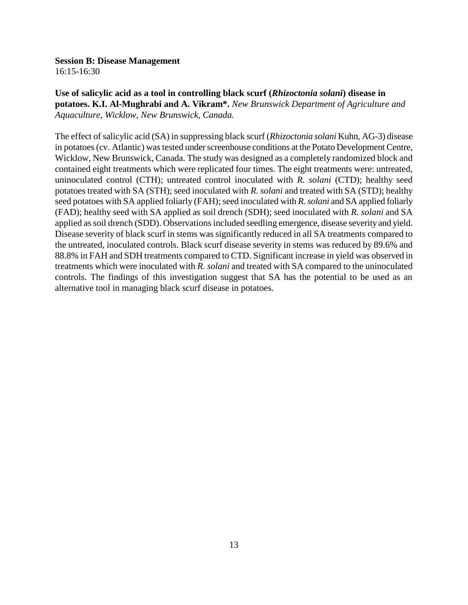#### **Session B: Disease Management**

16:15-16:30

**Use of salicylic acid as a tool in controlling black scurf (***Rhizoctonia solani***) disease in potatoes. K.I. Al-Mughrabi and A. Vikram\*.** *New Brunswick Department of Agriculture and Aquaculture, Wicklow, New Brunswick, Canada.*

The effect of salicylic acid (SA) in suppressing black scurf (*Rhizoctonia solani* Kuhn, AG-3) disease in potatoes (cv. Atlantic) was tested under screenhouse conditions at the Potato Development Centre, Wicklow, New Brunswick, Canada. The study was designed as a completely randomized block and contained eight treatments which were replicated four times. The eight treatments were: untreated, uninoculated control (CTH); untreated control inoculated with *R. solani* (CTD); healthy seed potatoes treated with SA (STH); seed inoculated with *R. solani* and treated with SA (STD); healthy seed potatoes with SA applied foliarly (FAH); seed inoculated with *R. solani* and SA applied foliarly (FAD); healthy seed with SA applied as soil drench (SDH); seed inoculated with *R. solani* and SA applied as soil drench (SDD). Observations included seedling emergence, disease severity and yield. Disease severity of black scurf in stems was significantly reduced in all SA treatments compared to the untreated, inoculated controls. Black scurf disease severity in stems was reduced by 89.6% and 88.8% in FAH and SDH treatments compared to CTD. Significant increase in yield was observed in treatments which were inoculated with *R. solani* and treated with SA compared to the uninoculated controls. The findings of this investigation suggest that SA has the potential to be used as an alternative tool in managing black scurf disease in potatoes.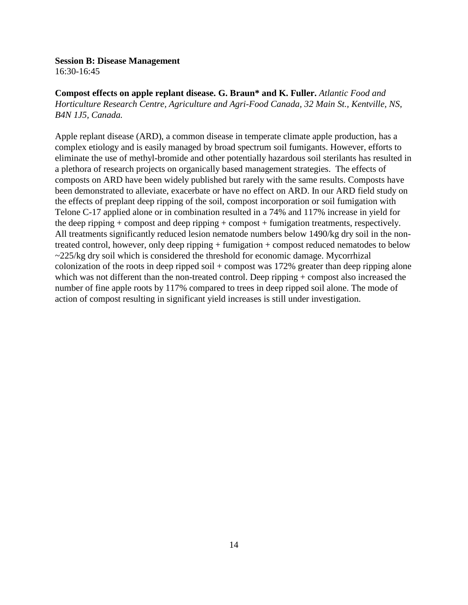#### **Session B: Disease Management**

16:30-16:45

**Compost effects on apple replant disease. G. Braun\* and K. Fuller.** *Atlantic Food and Horticulture Research Centre, Agriculture and Agri-Food Canada, 32 Main St., Kentville, NS, B4N 1J5, Canada.*

Apple replant disease (ARD), a common disease in temperate climate apple production, has a complex etiology and is easily managed by broad spectrum soil fumigants. However, efforts to eliminate the use of methyl-bromide and other potentially hazardous soil sterilants has resulted in a plethora of research projects on organically based management strategies. The effects of composts on ARD have been widely published but rarely with the same results. Composts have been demonstrated to alleviate, exacerbate or have no effect on ARD. In our ARD field study on the effects of preplant deep ripping of the soil, compost incorporation or soil fumigation with Telone C-17 applied alone or in combination resulted in a 74% and 117% increase in yield for the deep ripping + compost and deep ripping + compost + fumigation treatments, respectively. All treatments significantly reduced lesion nematode numbers below 1490/kg dry soil in the nontreated control, however, only deep ripping + fumigation + compost reduced nematodes to below  $\sim$ 225/kg dry soil which is considered the threshold for economic damage. Mycorrhizal colonization of the roots in deep ripped soil  $+$  compost was 172% greater than deep ripping alone which was not different than the non-treated control. Deep ripping + compost also increased the number of fine apple roots by 117% compared to trees in deep ripped soil alone. The mode of action of compost resulting in significant yield increases is still under investigation.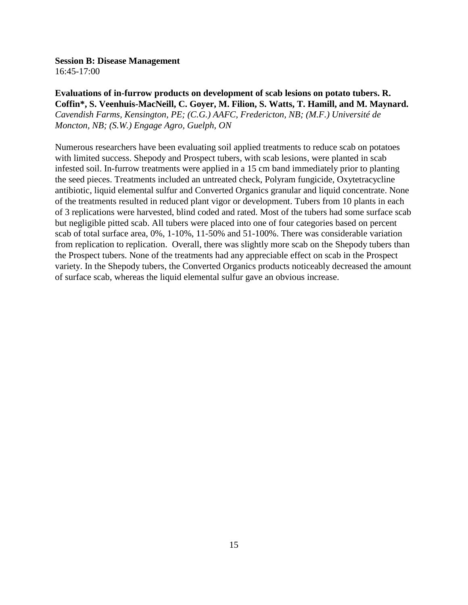#### **Session B: Disease Management**

16:45-17:00

## **Evaluations of in-furrow products on development of scab lesions on potato tubers. R. Coffin\*, S. Veenhuis-MacNeill, C. Goyer, M. Filion, S. Watts, T. Hamill, and M. Maynard.**

*Cavendish Farms, Kensington, PE; (C.G.) AAFC, Fredericton, NB; (M.F.) Université de Moncton, NB; (S.W.) Engage Agro, Guelph, ON*

Numerous researchers have been evaluating soil applied treatments to reduce scab on potatoes with limited success. Shepody and Prospect tubers, with scab lesions, were planted in scab infested soil. In-furrow treatments were applied in a 15 cm band immediately prior to planting the seed pieces. Treatments included an untreated check, Polyram fungicide, Oxytetracycline antibiotic, liquid elemental sulfur and Converted Organics granular and liquid concentrate. None of the treatments resulted in reduced plant vigor or development. Tubers from 10 plants in each of 3 replications were harvested, blind coded and rated. Most of the tubers had some surface scab but negligible pitted scab. All tubers were placed into one of four categories based on percent scab of total surface area, 0%, 1-10%, 11-50% and 51-100%. There was considerable variation from replication to replication. Overall, there was slightly more scab on the Shepody tubers than the Prospect tubers. None of the treatments had any appreciable effect on scab in the Prospect variety. In the Shepody tubers, the Converted Organics products noticeably decreased the amount of surface scab, whereas the liquid elemental sulfur gave an obvious increase.